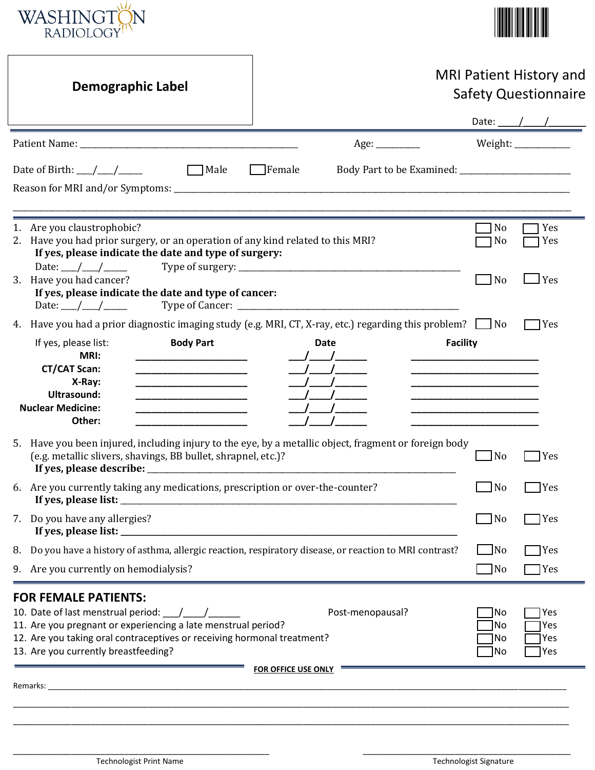



| <b>Demographic Label</b>                                                                                                                                                                                                                                                                                                                                                                                                                                                                                                                                                                                          |                                         | <b>MRI Patient History and</b><br><b>Safety Questionnaire</b>                                                                                                                                                                                                                                                                                                                                                            |
|-------------------------------------------------------------------------------------------------------------------------------------------------------------------------------------------------------------------------------------------------------------------------------------------------------------------------------------------------------------------------------------------------------------------------------------------------------------------------------------------------------------------------------------------------------------------------------------------------------------------|-----------------------------------------|--------------------------------------------------------------------------------------------------------------------------------------------------------------------------------------------------------------------------------------------------------------------------------------------------------------------------------------------------------------------------------------------------------------------------|
|                                                                                                                                                                                                                                                                                                                                                                                                                                                                                                                                                                                                                   |                                         | Date: $\frac{1}{\sqrt{1-\frac{1}{2}}}\frac{1}{\sqrt{1-\frac{1}{2}}}\frac{1}{\sqrt{1-\frac{1}{2}}}\frac{1}{\sqrt{1-\frac{1}{2}}}\frac{1}{\sqrt{1-\frac{1}{2}}}\frac{1}{\sqrt{1-\frac{1}{2}}}\frac{1}{\sqrt{1-\frac{1}{2}}}\frac{1}{\sqrt{1-\frac{1}{2}}}\frac{1}{\sqrt{1-\frac{1}{2}}}\frac{1}{\sqrt{1-\frac{1}{2}}}\frac{1}{\sqrt{1-\frac{1}{2}}}\frac{1}{\sqrt{1-\frac{1}{2}}}\frac{1}{\sqrt{1-\frac{1}{2}}}\frac{1}{\$ |
|                                                                                                                                                                                                                                                                                                                                                                                                                                                                                                                                                                                                                   |                                         | Weight: ____________                                                                                                                                                                                                                                                                                                                                                                                                     |
| Date of Birth: $\frac{\mu}{\sigma}$<br>$\Box$ Male                                                                                                                                                                                                                                                                                                                                                                                                                                                                                                                                                                | $\Box$ Female                           |                                                                                                                                                                                                                                                                                                                                                                                                                          |
| 1. Are you claustrophobic?<br>2. Have you had prior surgery, or an operation of any kind related to this MRI?<br>If yes, please indicate the date and type of surgery:                                                                                                                                                                                                                                                                                                                                                                                                                                            |                                         | N <sub>0</sub><br>Yes<br>No<br>Yes                                                                                                                                                                                                                                                                                                                                                                                       |
| 3. Have you had cancer?<br>If yes, please indicate the date and type of cancer:<br>Date: ___/ ___/ _____                                                                                                                                                                                                                                                                                                                                                                                                                                                                                                          |                                         | $\mathsf{\Gamma}$ Yes<br>N <sub>o</sub>                                                                                                                                                                                                                                                                                                                                                                                  |
| 4. Have you had a prior diagnostic imaging study (e.g. MRI, CT, X-ray, etc.) regarding this problem? $\Box$ No<br><b>Body Part</b><br>If yes, please list:<br>MRI:<br>___________________________<br><b>CT/CAT Scan:</b><br><u> 1990 - Johann John Stone, mars et al.</u><br>X-Ray:<br><b>Ultrasound:</b><br><u> 1989 - Johann John Harry Harry Harry Harry Harry Harry Harry Harry Harry Harry Harry Harry Harry Harry Harry Harry Harry Harry Harry Harry Harry Harry Harry Harry Harry Harry Harry Harry Harry Harry Harry Harry Harry Har</u><br><b>Nuclear Medicine:</b><br>______________________<br>Other: | <b>Date</b><br>$\frac{1}{2}$            | 7Yes<br><b>Facility</b><br>____________________________<br><u> 1990 - Johann John Stone, markin amerikan bisa di sebagai pertama dan bagi persebut dan bagi persebut dan ba</u><br><u> 1989 - Johann John Stone, markin amerikan bisa di sebagai pertama dan bagian dan bisa di sebagai pertama dan</u><br>________________________                                                                                      |
| 5. Have you been injured, including injury to the eye, by a metallic object, fragment or foreign body<br>(e.g. metallic slivers, shavings, BB bullet, shrapnel, etc.)?                                                                                                                                                                                                                                                                                                                                                                                                                                            |                                         | N <sub>o</sub><br>  Yes                                                                                                                                                                                                                                                                                                                                                                                                  |
| 6. Are you currently taking any medications, prescription or over-the-counter?<br>If yes, please list:                                                                                                                                                                                                                                                                                                                                                                                                                                                                                                            |                                         | No<br>Yes                                                                                                                                                                                                                                                                                                                                                                                                                |
| 7. Do you have any allergies?                                                                                                                                                                                                                                                                                                                                                                                                                                                                                                                                                                                     |                                         | No<br>Yes                                                                                                                                                                                                                                                                                                                                                                                                                |
| Do you have a history of asthma, allergic reaction, respiratory disease, or reaction to MRI contrast?<br>8.<br>Are you currently on hemodialysis?<br>9.                                                                                                                                                                                                                                                                                                                                                                                                                                                           |                                         | $\Box$ No<br> Yes<br>$\Box$ No<br>TYes                                                                                                                                                                                                                                                                                                                                                                                   |
| <b>FOR FEMALE PATIENTS:</b><br>10. Date of last menstrual period: $\frac{1}{\sqrt{2}}$<br>11. Are you pregnant or experiencing a late menstrual period?<br>12. Are you taking oral contraceptives or receiving hormonal treatment?<br>13. Are you currently breastfeeding?                                                                                                                                                                                                                                                                                                                                        | Post-menopausal?<br>FOR OFFICE USE ONLY | Yes<br> No<br> No<br>Yes<br> No<br>Yes<br>Yes<br> No                                                                                                                                                                                                                                                                                                                                                                     |
|                                                                                                                                                                                                                                                                                                                                                                                                                                                                                                                                                                                                                   |                                         |                                                                                                                                                                                                                                                                                                                                                                                                                          |

٦

 $\overline{\phantom{a}}$  , and the contribution of the contribution of the contribution of the contribution of the contribution of the contribution of the contribution of the contribution of the contribution of the contribution of the